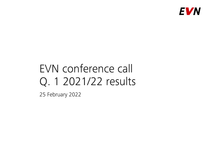

# EVN conference call Q. 1 2021/22 results

25 February 2022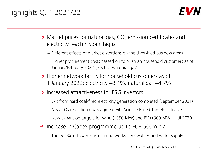# Highlights Q. 1 2021/22



- $\rightarrow$  Market prices for natural gas, CO<sub>2</sub> emission certificates and electricity reach historic highs
	- − Different effects of market distortions on the diversified business areas
	- − Higher procurement costs passed on to Austrian household customers as of January/February 2022 (electricity/natural gas)
- $\rightarrow$  Higher network tariffs for household customers as of 1 January 2022: electricity +8.4%, natural gas +4.7%
- $\rightarrow$  Increased attractiveness for ESG investors
	- − Exit from hard coal-fired electricity generation completed (September 2021)
	- $-$  New CO<sub>2</sub> reduction goals agreed with Science Based Targets initiative
	- − New expansion targets for wind (+350 MW) and PV (+300 MW) until 2030
- $\rightarrow$  Increase in Capex programme up to EUR 500m p.a.
	- − Thereof <sup>3</sup>/4 in Lower Austria in networks, renewables and water supply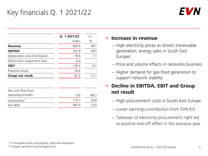# Key financials Q. 1 2021/22



|                               | Q. 1 2021/22 | $+/-$   |
|-------------------------------|--------------|---------|
|                               | <b>EURm</b>  | $\%$    |
| <b>Revenue</b>                | 900.9        | 49.1    |
| <b>EBITDA</b>                 | 201.9        | $-39.5$ |
| Depreciation and amortisation | $-78.8$      | 7.1     |
| Effects from impairment tests | 6.4          |         |
| <b>EBIT</b>                   | 129.5        | $-4.7$  |
| Financial results             | $-16.4$      |         |
| Group net result              | 81.5         | $-12.7$ |

| Net cash flow from        |       |      |
|---------------------------|-------|------|
| operating activities      | 0 R   | -987 |
| Investments <sup>1)</sup> | 110.1 | 26 R |
| Net debt                  | 9059  | -139 |

#### **Increase in revenue**

- − High electricity prices as drivers (renewable generation; energy sales in South East Europe)
- − Price and volume effects in networks business
- − Higher demand for gas-fired generation to support network stability

#### **Decline in EBITDA, EBIT and Group net result**

- − High procurement costs in South East Europe
- − Lower earnings contribution from EVN KG
- − Takeover of electricity procurement right led to positive one-off effect in the previous year

2) Changes reported in percentage points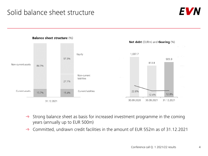## Solid balance sheet structure





- $\rightarrow$  Strong balance sheet as basis for increased investment programme in the coming years (annually up to EUR 500m)
- $\rightarrow$  Committed, undrawn credit facilities in the amount of EUR 552m as of 31.12.2021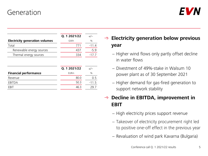### Generation



|                                       | Q. 1 2021/22 | $+/-$   |
|---------------------------------------|--------------|---------|
| <b>Electricity generation volumes</b> | GWh          | %       |
| Total                                 | 771          | $-11.4$ |
| Renewable energy sources              | 437          | $-5.9$  |
| Thermal energy sources                | 334          | $-17.7$ |
|                                       | Q. 1 2021/22 | $+/-$   |
| <b>Financial performance</b>          | <b>EURm</b>  | $\%$    |
| Revenue                               | 80.0         | 0.5     |
| EBITDA                                | 50.3         | $-11.5$ |
| EBIT                                  | 46.3         | 29.7    |
|                                       |              |         |

### **Electricity generation below previous year**

- − Higher wind flows only partly offset decline in water flows
- − Divestment of 49%-stake in Walsum 10 power plant as of 30 September 2021
- − Higher demand for gas-fired generation to support network stability

#### → Decline in EBITDA, improvement in **EBIT**

- − High electricity prices support revenue
- − Takeover of electricity procurement right led to positive one-off effect in the previous year
- − Revaluation of wind park Kavarna (Bulgaria)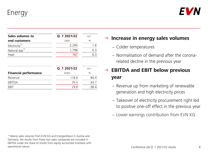Energy



| Sales volumes to          | Q. 1 2021/22 |      |
|---------------------------|--------------|------|
| end customers             | GWh          | $\%$ |
| Electricity <sup>1)</sup> | 2,295        | 1.6  |
| Natural gas <sup>1)</sup> | 1.796        | () ⊰ |
| Heat                      | 767          |      |

|                              | Q. 1 2021/22 | $+/-$   |
|------------------------------|--------------|---------|
| <b>Financial performance</b> | <b>EURm</b>  | $\%$    |
| Revenue                      | 178.9        | 90 4    |
| EBITDA                       | 35.0         | $-34.7$ |
| FRIT                         | 29 R         | -38.4   |

**Increase in energy sales volumes**

- − Colder temperatures
- − Normalisation of demand after the coronarelated decline in the previous year

### **EBITDA and EBIT below previous year**

- − Revenue up from marketing of renewable generation and high electricity prices
- − Takeover of electricity procurement right led to positive one-off effect in the previous year
- − Lower earnings contribution from EVN KG

1) Mainly sales volumes from EVN KG and EnergieAllianz in Austria and Germany; the results from these two sales companies are included in EBITDA under the share of results from equity accounted investees with operational nature.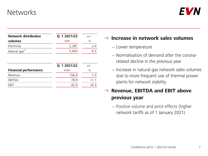### **Networks**



| <b>Network distribution</b>  | Q. 1 2021/22 | $+/-$ |
|------------------------------|--------------|-------|
| volumes                      | GWh          | $\%$  |
| Electricity                  | 2,381        | 2.4   |
| Natural gas <sup>1)</sup>    | 5,643        | 9.3   |
|                              |              |       |
|                              | Q. 1 2021/22 | $+/-$ |
| <b>Financial performance</b> | <b>EURm</b>  | $\%$  |
| Revenue                      | 156.6        | 7.0   |
| EBITDA                       | 78.9         | 11.1  |
| FBIT                         | 42.9         | 16.3  |
|                              |              |       |

#### **Increase in network sales volumes**

- − Lower temperature
- − Normalisation of demand after the coronarelated decline in the previous year
- − Increase in natural gas network sales volumes due to more frequent use of thermal power plants for network stability

### → Revenue, EBITDA and EBIT above **previous year**

− Positive volume and price effects (higher network tariffs as of 1 January 2021)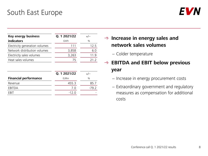### South East Europe



| Key energy business            | Q. 1 2021/22 | $+/-$ |
|--------------------------------|--------------|-------|
| <b>indicators</b>              | GWh          | $\%$  |
| Electricity generation volumes | 111          | 12.5  |
| Network distribution volumes   | 3,858        | 6.0   |
| Electricity sales volumes      | 3,263        | 11.9  |
| Heat sales volumes             | 75           | 21 Z  |

|                              | Q. 1 2021/22 | $+/-$ |
|------------------------------|--------------|-------|
| <b>Financial performance</b> | <b>EURm</b>  | $\%$  |
| Revenue                      | 455.3        | 85.7  |
| EBITDA                       | 7 O          | -79.2 |
| FRIT                         | $-120$       |       |

#### → Increase in energy sales and **network sales volumes**

− Colder temperature

### **EBITDA and EBIT below previous year**

- − Increase in energy procurement costs
- − Extraordinary government and regulatory measures as compensation for additional costs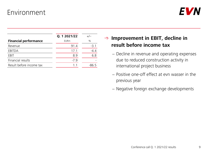### Environment

|                              | Q. 1 2021/22 | $+/-$         |
|------------------------------|--------------|---------------|
| <b>Financial performance</b> | <b>EURm</b>  | $\frac{0}{0}$ |
| Revenue                      | 91.4         | $-3.1$        |
| EBITDA                       | 17.1         | $-4.4$        |
| FBIT                         | 8.9          | 6.8           |
| Financial results            | $-7.9$       |               |
| Result before income tax     | 11           | -86 5         |

### → Improvement in EBIT, decline in **result before income tax**

- − Decline in revenue and operating expenses due to reduced construction activity in international project business
- − Positive one-off effect at evn wasser in the previous year
- − Negative foreign exchange developments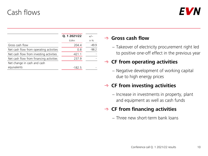### Cash flows



|                                         | Q. 1 2021/22 | $+/-$   |
|-----------------------------------------|--------------|---------|
|                                         | <b>EURm</b>  | in $%$  |
| Gross cash flow                         | 204.4        | $-49.9$ |
| Net cash flow from operating activities | 0.8          | $-98.2$ |
| Net cash flow from investing activities | $-421.1$     |         |
| Net cash flow from financing activities | 237.9        |         |
| Net change in cash and cash             |              |         |
| equivalents                             | $-182.5$     |         |

#### **Gross cash flow**

− Takeover of electricity procurement right led to positive one-off effect in the previous year

#### **CF from operating activities**

− Negative development of working capital due to high energy prices

#### **CF from investing activities**

− Increase in investments in property, plant and equipment as well as cash funds

#### **CF from financing activities**

− Three new short-term bank loans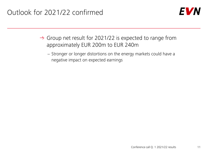

- $\rightarrow$  Group net result for 2021/22 is expected to range from approximately EUR 200m to EUR 240m
	- − Stronger or longer distortions on the energy markets could have a negative impact on expected earnings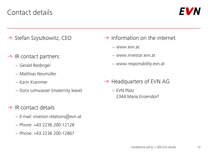### Contact details



- $\rightarrow$  Stefan Szyszkowitz, CEO
- $\rightarrow$  IR contact partners:
	- − Gerald Reidinger
	- − Matthias Neumüller
	- − Karin Krammer
	- − Doris Lohwasser (maternity leave)
- $\rightarrow$  IR contact details
	- − E-mail: investor.relations@evn.at
	- − Phone: +43 2236 200-12128
	- − Phone: +43 2236 200-12867
- $\rightarrow$  Information on the internet
	- − www.evn.at
	- − www.investor.evn.at
	- − www.responsibility.evn.at
- $\rightarrow$  Headquarters of EVN AG
	- − EVN Platz 2344 Maria Enzersdorf